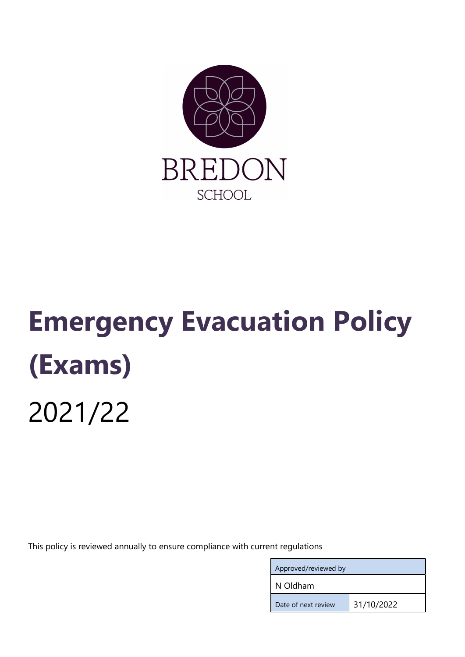

# Emergency Evacuation Policy (Exams) 2021/22

This policy is reviewed annually to ensure compliance with current regulations

| Approved/reviewed by |            |
|----------------------|------------|
| N Oldham             |            |
| Date of next review  | 31/10/2022 |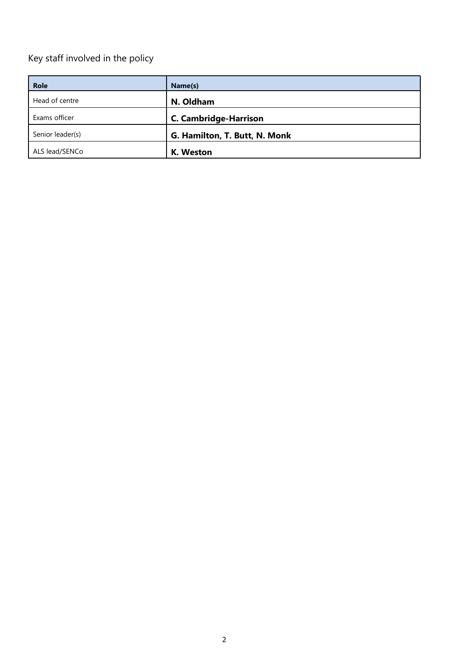## Key staff involved in the policy

| <b>Role</b>      | Name(s)                       |
|------------------|-------------------------------|
| Head of centre   | N. Oldham                     |
| Exams officer    | <b>C. Cambridge-Harrison</b>  |
| Senior leader(s) | G. Hamilton, T. Butt, N. Monk |
| ALS lead/SENCo   | K. Weston                     |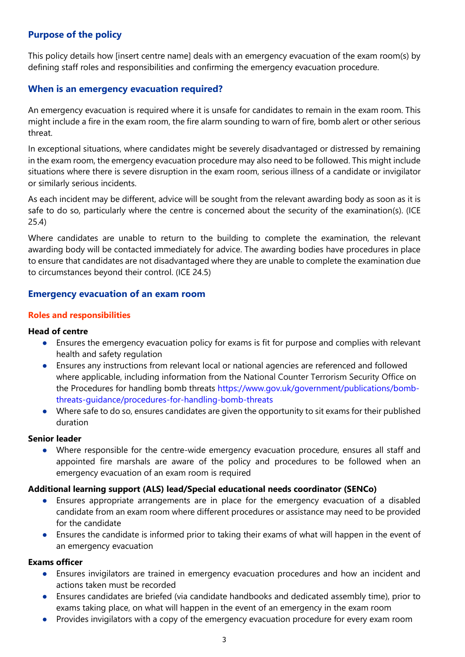## Purpose of the policy

This policy details how [insert centre name] deals with an emergency evacuation of the exam room(s) by defining staff roles and responsibilities and confirming the emergency evacuation procedure.

#### When is an emergency evacuation required?

An emergency evacuation is required where it is unsafe for candidates to remain in the exam room. This might include a fire in the exam room, the fire alarm sounding to warn of fire, bomb alert or other serious threat.

In exceptional situations, where candidates might be severely disadvantaged or distressed by remaining in the exam room, the emergency evacuation procedure may also need to be followed. This might include situations where there is severe disruption in the exam room, serious illness of a candidate or invigilator or similarly serious incidents.

As each incident may be different, advice will be sought from the relevant awarding body as soon as it is safe to do so, particularly where the centre is concerned about the security of the examination(s). (ICE 25.4)

Where candidates are unable to return to the building to complete the examination, the relevant awarding body will be contacted immediately for advice. The awarding bodies have procedures in place to ensure that candidates are not disadvantaged where they are unable to complete the examination due to circumstances beyond their control. (ICE 24.5)

#### Emergency evacuation of an exam room

#### Roles and responsibilities

#### Head of centre

- Ensures the emergency evacuation policy for exams is fit for purpose and complies with relevant health and safety regulation
- Ensures any instructions from relevant local or national agencies are referenced and followed where applicable, including information from the National Counter Terrorism Security Office on the Procedures for handling bomb threats https://www.gov.uk/government/publications/bombthreats-guidance/procedures-for-handling-bomb-threats
- Where safe to do so, ensures candidates are given the opportunity to sit exams for their published duration

#### Senior leader

● Where responsible for the centre-wide emergency evacuation procedure, ensures all staff and appointed fire marshals are aware of the policy and procedures to be followed when an emergency evacuation of an exam room is required

#### Additional learning support (ALS) lead/Special educational needs coordinator (SENCo)

- Ensures appropriate arrangements are in place for the emergency evacuation of a disabled candidate from an exam room where different procedures or assistance may need to be provided for the candidate
- Ensures the candidate is informed prior to taking their exams of what will happen in the event of an emergency evacuation

#### Exams officer

- Ensures invigilators are trained in emergency evacuation procedures and how an incident and actions taken must be recorded
- Ensures candidates are briefed (via candidate handbooks and dedicated assembly time), prior to exams taking place, on what will happen in the event of an emergency in the exam room
- Provides invigilators with a copy of the emergency evacuation procedure for every exam room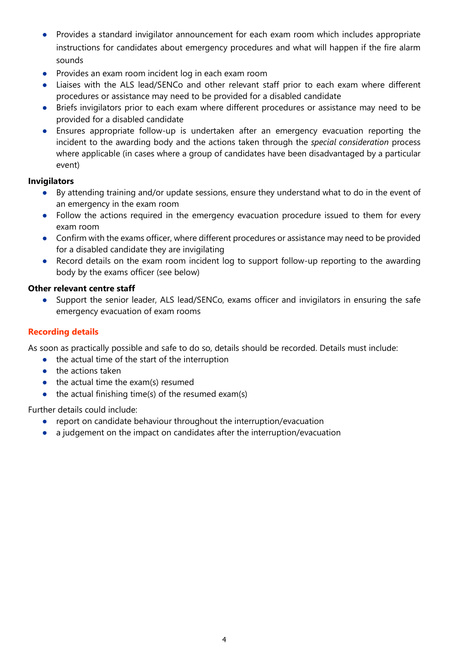- Provides a standard invigilator announcement for each exam room which includes appropriate instructions for candidates about emergency procedures and what will happen if the fire alarm sounds
- Provides an exam room incident log in each exam room
- Liaises with the ALS lead/SENCo and other relevant staff prior to each exam where different procedures or assistance may need to be provided for a disabled candidate
- Briefs invigilators prior to each exam where different procedures or assistance may need to be provided for a disabled candidate
- Ensures appropriate follow-up is undertaken after an emergency evacuation reporting the incident to the awarding body and the actions taken through the special consideration process where applicable (in cases where a group of candidates have been disadvantaged by a particular event)

### Invigilators

- By attending training and/or update sessions, ensure they understand what to do in the event of an emergency in the exam room
- Follow the actions required in the emergency evacuation procedure issued to them for every exam room
- Confirm with the exams officer, where different procedures or assistance may need to be provided for a disabled candidate they are invigilating
- Record details on the exam room incident log to support follow-up reporting to the awarding body by the exams officer (see below)

## Other relevant centre staff

● Support the senior leader, ALS lead/SENCo, exams officer and invigilators in ensuring the safe emergency evacuation of exam rooms

## Recording details

As soon as practically possible and safe to do so, details should be recorded. Details must include:

- the actual time of the start of the interruption
- the actions taken
- $\bullet$  the actual time the exam(s) resumed
- $\bullet$  the actual finishing time(s) of the resumed exam(s)

Further details could include:

- report on candidate behaviour throughout the interruption/evacuation
- a judgement on the impact on candidates after the interruption/evacuation